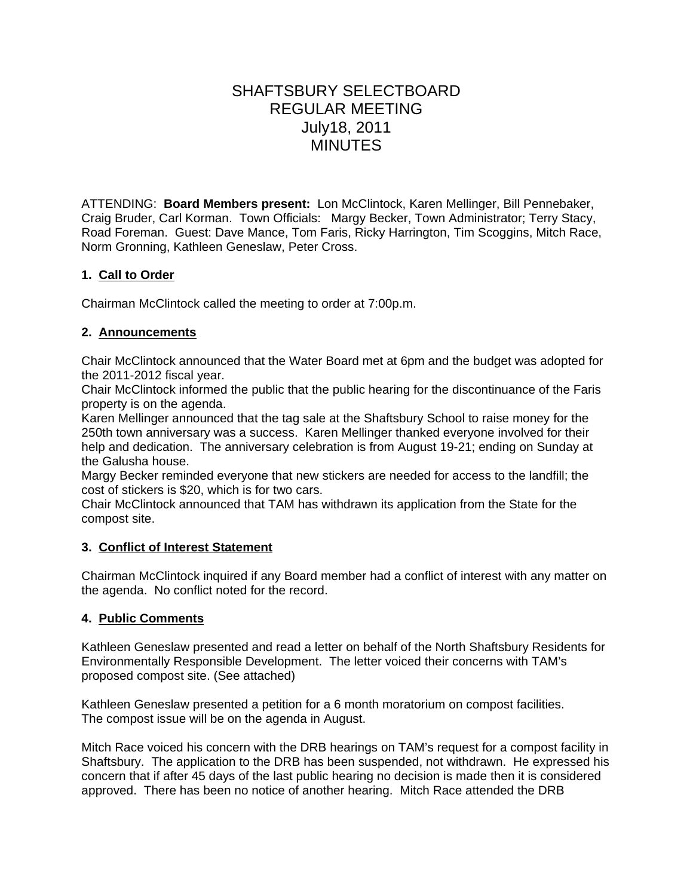# SHAFTSBURY SELECTBOARD REGULAR MEETING July18, 2011 **MINUTES**

ATTENDING: **Board Members present:** Lon McClintock, Karen Mellinger, Bill Pennebaker, Craig Bruder, Carl Korman. Town Officials: Margy Becker, Town Administrator; Terry Stacy, Road Foreman. Guest: Dave Mance, Tom Faris, Ricky Harrington, Tim Scoggins, Mitch Race, Norm Gronning, Kathleen Geneslaw, Peter Cross.

# **1. Call to Order**

Chairman McClintock called the meeting to order at 7:00p.m.

# **2. Announcements**

Chair McClintock announced that the Water Board met at 6pm and the budget was adopted for the 2011-2012 fiscal year.

Chair McClintock informed the public that the public hearing for the discontinuance of the Faris property is on the agenda.

Karen Mellinger announced that the tag sale at the Shaftsbury School to raise money for the 250th town anniversary was a success. Karen Mellinger thanked everyone involved for their help and dedication. The anniversary celebration is from August 19-21; ending on Sunday at the Galusha house.

Margy Becker reminded everyone that new stickers are needed for access to the landfill; the cost of stickers is \$20, which is for two cars.

Chair McClintock announced that TAM has withdrawn its application from the State for the compost site.

# **3. Conflict of Interest Statement**

Chairman McClintock inquired if any Board member had a conflict of interest with any matter on the agenda. No conflict noted for the record.

# **4. Public Comments**

Kathleen Geneslaw presented and read a letter on behalf of the North Shaftsbury Residents for Environmentally Responsible Development. The letter voiced their concerns with TAM's proposed compost site. (See attached)

Kathleen Geneslaw presented a petition for a 6 month moratorium on compost facilities. The compost issue will be on the agenda in August.

Mitch Race voiced his concern with the DRB hearings on TAM's request for a compost facility in Shaftsbury. The application to the DRB has been suspended, not withdrawn. He expressed his concern that if after 45 days of the last public hearing no decision is made then it is considered approved. There has been no notice of another hearing. Mitch Race attended the DRB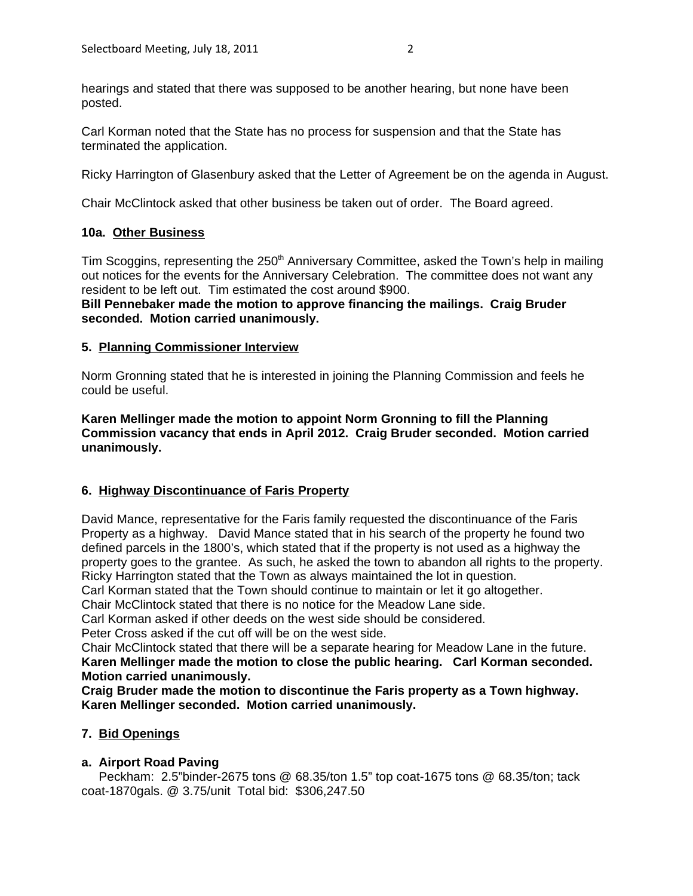Carl Korman noted that the State has no process for suspension and that the State has terminated the application.

Ricky Harrington of Glasenbury asked that the Letter of Agreement be on the agenda in August.

Chair McClintock asked that other business be taken out of order. The Board agreed.

# **10a. Other Business**

Tim Scoggins, representing the 250<sup>th</sup> Anniversary Committee, asked the Town's help in mailing out notices for the events for the Anniversary Celebration. The committee does not want any resident to be left out. Tim estimated the cost around \$900.

**Bill Pennebaker made the motion to approve financing the mailings. Craig Bruder seconded. Motion carried unanimously.**

### **5. Planning Commissioner Interview**

Norm Gronning stated that he is interested in joining the Planning Commission and feels he could be useful.

**Karen Mellinger made the motion to appoint Norm Gronning to fill the Planning Commission vacancy that ends in April 2012. Craig Bruder seconded. Motion carried unanimously.**

# **6. Highway Discontinuance of Faris Property**

David Mance, representative for the Faris family requested the discontinuance of the Faris Property as a highway. David Mance stated that in his search of the property he found two defined parcels in the 1800's, which stated that if the property is not used as a highway the property goes to the grantee. As such, he asked the town to abandon all rights to the property. Ricky Harrington stated that the Town as always maintained the lot in question.

Carl Korman stated that the Town should continue to maintain or let it go altogether.

Chair McClintock stated that there is no notice for the Meadow Lane side.

Carl Korman asked if other deeds on the west side should be considered.

Peter Cross asked if the cut off will be on the west side.

Chair McClintock stated that there will be a separate hearing for Meadow Lane in the future. **Karen Mellinger made the motion to close the public hearing. Carl Korman seconded. Motion carried unanimously.**

**Craig Bruder made the motion to discontinue the Faris property as a Town highway. Karen Mellinger seconded. Motion carried unanimously.**

# **7. Bid Openings**

# **a. Airport Road Paving**

Peckham: 2.5"binder-2675 tons @ 68.35/ton 1.5" top coat-1675 tons @ 68.35/ton; tack coat-1870gals. @ 3.75/unit Total bid: \$306,247.50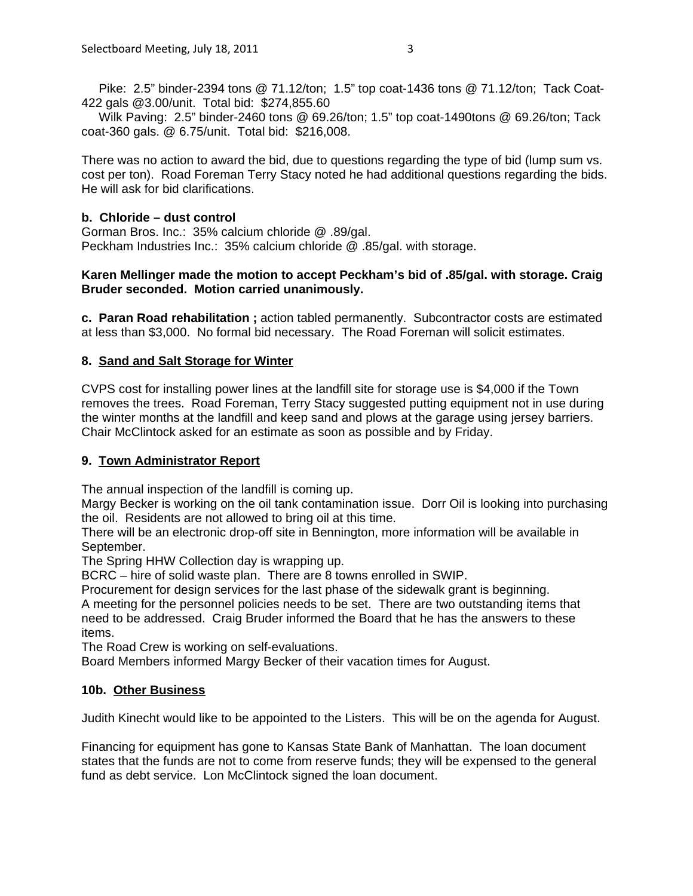Pike: 2.5" binder-2394 tons @ 71.12/ton; 1.5" top coat-1436 tons @ 71.12/ton; Tack Coat-422 gals @3.00/unit. Total bid: \$274,855.60

 Wilk Paving: 2.5" binder-2460 tons @ 69.26/ton; 1.5" top coat-1490tons @ 69.26/ton; Tack coat-360 gals. @ 6.75/unit. Total bid: \$216,008.

There was no action to award the bid, due to questions regarding the type of bid (lump sum vs. cost per ton). Road Foreman Terry Stacy noted he had additional questions regarding the bids. He will ask for bid clarifications.

#### **b. Chloride – dust control**

Gorman Bros. Inc.: 35% calcium chloride @ .89/gal. Peckham Industries Inc.: 35% calcium chloride @ .85/gal. with storage.

#### **Karen Mellinger made the motion to accept Peckham's bid of .85/gal. with storage. Craig Bruder seconded. Motion carried unanimously.**

**c. Paran Road rehabilitation ;** action tabled permanently. Subcontractor costs are estimated at less than \$3,000. No formal bid necessary. The Road Foreman will solicit estimates.

#### **8. Sand and Salt Storage for Winter**

CVPS cost for installing power lines at the landfill site for storage use is \$4,000 if the Town removes the trees. Road Foreman, Terry Stacy suggested putting equipment not in use during the winter months at the landfill and keep sand and plows at the garage using jersey barriers. Chair McClintock asked for an estimate as soon as possible and by Friday.

#### **9. Town Administrator Report**

The annual inspection of the landfill is coming up.

Margy Becker is working on the oil tank contamination issue. Dorr Oil is looking into purchasing the oil. Residents are not allowed to bring oil at this time.

There will be an electronic drop-off site in Bennington, more information will be available in September.

The Spring HHW Collection day is wrapping up.

BCRC – hire of solid waste plan. There are 8 towns enrolled in SWIP.

Procurement for design services for the last phase of the sidewalk grant is beginning. A meeting for the personnel policies needs to be set. There are two outstanding items that need to be addressed. Craig Bruder informed the Board that he has the answers to these items.

The Road Crew is working on self-evaluations.

Board Members informed Margy Becker of their vacation times for August.

#### **10b. Other Business**

Judith Kinecht would like to be appointed to the Listers. This will be on the agenda for August.

Financing for equipment has gone to Kansas State Bank of Manhattan. The loan document states that the funds are not to come from reserve funds; they will be expensed to the general fund as debt service. Lon McClintock signed the loan document.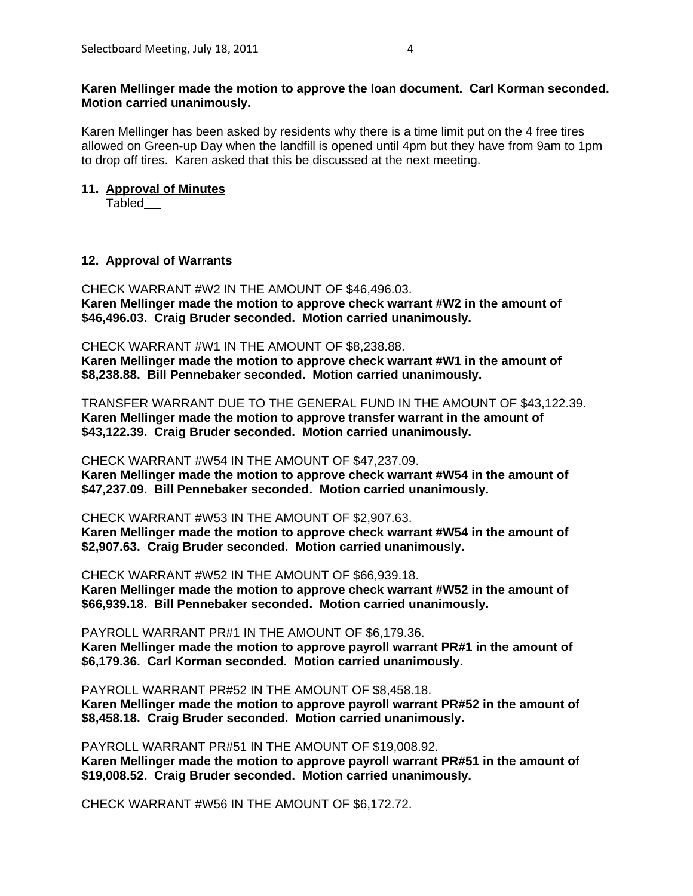#### **Karen Mellinger made the motion to approve the loan document. Carl Korman seconded. Motion carried unanimously.**

Karen Mellinger has been asked by residents why there is a time limit put on the 4 free tires allowed on Green-up Day when the landfill is opened until 4pm but they have from 9am to 1pm to drop off tires. Karen asked that this be discussed at the next meeting.

#### **11. Approval of Minutes**

Tabled

### **12. Approval of Warrants**

CHECK WARRANT #W2 IN THE AMOUNT OF \$46,496.03. **Karen Mellinger made the motion to approve check warrant #W2 in the amount of \$46,496.03. Craig Bruder seconded. Motion carried unanimously.** 

#### CHECK WARRANT #W1 IN THE AMOUNT OF \$8,238.88.

**Karen Mellinger made the motion to approve check warrant #W1 in the amount of \$8,238.88. Bill Pennebaker seconded. Motion carried unanimously.** 

TRANSFER WARRANT DUE TO THE GENERAL FUND IN THE AMOUNT OF \$43,122.39. **Karen Mellinger made the motion to approve transfer warrant in the amount of \$43,122.39. Craig Bruder seconded. Motion carried unanimously.**

CHECK WARRANT #W54 IN THE AMOUNT OF \$47,237.09.

**Karen Mellinger made the motion to approve check warrant #W54 in the amount of \$47,237.09. Bill Pennebaker seconded. Motion carried unanimously.** 

CHECK WARRANT #W53 IN THE AMOUNT OF \$2,907.63.

**Karen Mellinger made the motion to approve check warrant #W54 in the amount of \$2,907.63. Craig Bruder seconded. Motion carried unanimously.**

CHECK WARRANT #W52 IN THE AMOUNT OF \$66,939.18. **Karen Mellinger made the motion to approve check warrant #W52 in the amount of \$66,939.18. Bill Pennebaker seconded. Motion carried unanimously.** 

PAYROLL WARRANT PR#1 IN THE AMOUNT OF \$6,179.36. **Karen Mellinger made the motion to approve payroll warrant PR#1 in the amount of \$6,179.36. Carl Korman seconded. Motion carried unanimously.**

PAYROLL WARRANT PR#52 IN THE AMOUNT OF \$8,458.18. **Karen Mellinger made the motion to approve payroll warrant PR#52 in the amount of \$8,458.18. Craig Bruder seconded. Motion carried unanimously.**

PAYROLL WARRANT PR#51 IN THE AMOUNT OF \$19,008.92. **Karen Mellinger made the motion to approve payroll warrant PR#51 in the amount of \$19,008.52. Craig Bruder seconded. Motion carried unanimously.**

CHECK WARRANT #W56 IN THE AMOUNT OF \$6,172.72.